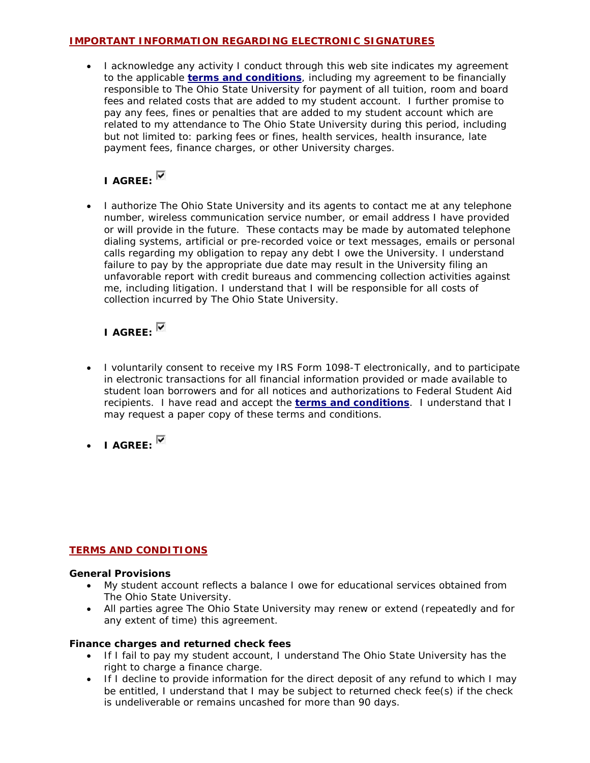#### **IMPORTANT INFORMATION REGARDING ELECTRONIC SIGNATURES**

• I acknowledge any activity I conduct through this web site indicates my agreement to the applicable **terms and conditions**, including my agreement to be financially responsible to The Ohio State University for payment of all tuition, room and board fees and related costs that are added to my student account. I further promise to pay any fees, fines or penalties that are added to my student account which are related to my attendance to The Ohio State University during this period, including but not limited to: parking fees or fines, health services, health insurance, late payment fees, finance charges, or other University charges.

## **I AGREE:**

• I authorize The Ohio State University and its agents to contact me at any telephone number, wireless communication service number, or email address I have provided or will provide in the future. These contacts may be made by automated telephone dialing systems, artificial or pre-recorded voice or text messages, emails or personal calls regarding my obligation to repay any debt I owe the University. I understand failure to pay by the appropriate due date may result in the University filing an unfavorable report with credit bureaus and commencing collection activities against me, including litigation. I understand that I will be responsible for all costs of collection incurred by The Ohio State University.

# **I AGREE:**

- I voluntarily consent to receive my IRS Form 1098-T electronically, and to participate in electronic transactions for all financial information provided or made available to student loan borrowers and for all notices and authorizations to Federal Student Aid recipients. I have read and accept the **terms and conditions**. I understand that I may request a paper copy of these terms and conditions.
- **I AGREE:**  $\overline{\mathbb{M}}$

## **TERMS AND CONDITIONS**

## **General Provisions**

- My student account reflects a balance I owe for educational services obtained from The Ohio State University.
- All parties agree The Ohio State University may renew or extend (repeatedly and for any extent of time) this agreement.

## **Finance charges and returned check fees**

- If I fail to pay my student account, I understand The Ohio State University has the right to charge a finance charge.
- If I decline to provide information for the direct deposit of any refund to which I may be entitled, I understand that I may be subject to returned check fee(s) if the check is undeliverable or remains uncashed for more than 90 days.